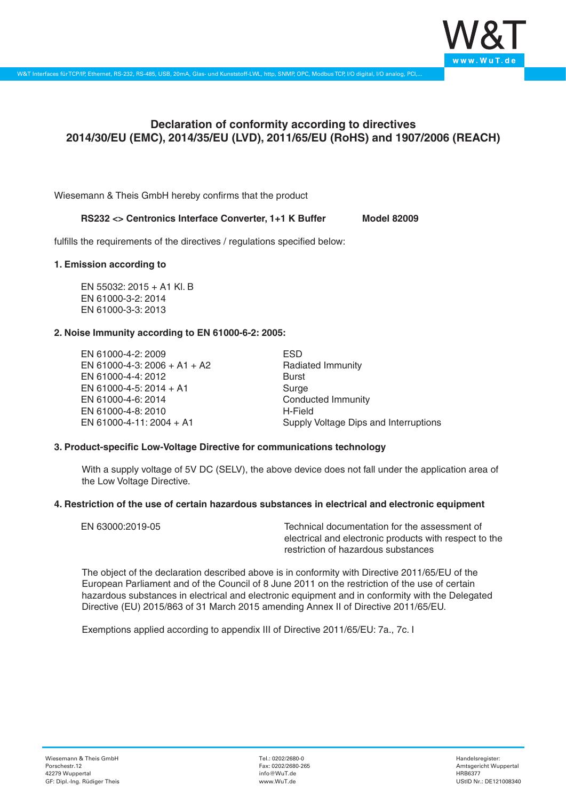

# **Declaration of conformity according to directives 2014/30/EU (EMC), 2014/35/EU (LVD), 2011/65/EU (RoHS) and 1907/2006 (REACH)**

Wiesemann & Theis GmbH hereby confirms that the product

## RS232 <> Centronics Interface Converter, 1+1 K Buffer Model 82009

fulfills the requirements of the directives / regulations specified below:

#### **1. Emission according to**

EN 55032: 2015 + A1 Kl. B EN 61000-3-2: 2014 EN 61000-3-3: 2013

#### **2. Noise Immunity according to EN 61000-6-2: 2005:**

EN 61000-4-2: 2009 EN 61000-4-3: 2006 + A1 + A2 EN 61000-4-4: 2012 EN 61000-4-5: 2014 + A1 EN 61000-4-6: 2014 EN 61000-4-8: 2010 EN 61000-4-11: 2004 + A1

ESD Radiated Immunity Burst Surge Conducted Immunity H-Field Supply Voltage Dips and Interruptions

## **3. Product-specific Low-Voltage Directive for communications technology**

With a supply voltage of 5V DC (SELV), the above device does not fall under the application area of the Low Voltage Directive.

#### **4. Restriction of the use of certain hazardous substances in electrical and electronic equipment**

| EN 63000:2019-05 | Technical documentation for the assessment of          |
|------------------|--------------------------------------------------------|
|                  | electrical and electronic products with respect to the |
|                  | restriction of hazardous substances                    |

The object of the declaration described above is in conformity with Directive 2011/65/EU of the European Parliament and of the Council of 8 June 2011 on the restriction of the use of certain hazardous substances in electrical and electronic equipment and in conformity with the Delegated Directive (EU) 2015/863 of 31 March 2015 amending Annex II of Directive 2011/65/EU.

Exemptions applied according to appendix III of Directive 2011/65/EU: 7a., 7c. I